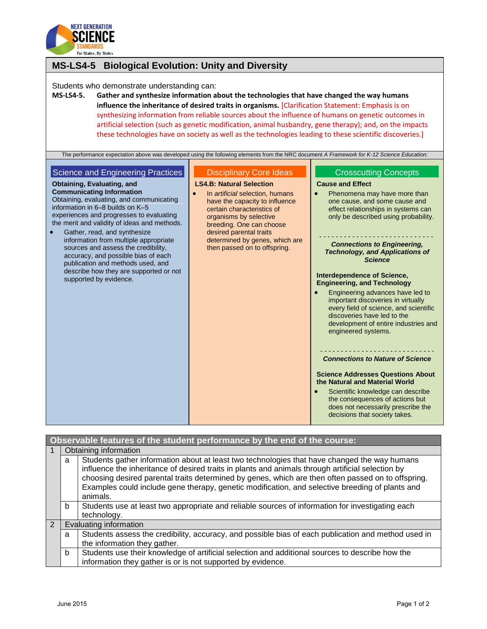

| <b>MS-LS4-5 Biological Evolution: Unity and Diversity</b>                                                                                                                                                                                                                                                                                                                                                                                                                                                                                                                                         |                                                                                                                                                                                                                                                                                                           |                                                                                                                                                                                                                                                                                                                                                                                                                                                                                                                                                                                                             |  |  |
|---------------------------------------------------------------------------------------------------------------------------------------------------------------------------------------------------------------------------------------------------------------------------------------------------------------------------------------------------------------------------------------------------------------------------------------------------------------------------------------------------------------------------------------------------------------------------------------------------|-----------------------------------------------------------------------------------------------------------------------------------------------------------------------------------------------------------------------------------------------------------------------------------------------------------|-------------------------------------------------------------------------------------------------------------------------------------------------------------------------------------------------------------------------------------------------------------------------------------------------------------------------------------------------------------------------------------------------------------------------------------------------------------------------------------------------------------------------------------------------------------------------------------------------------------|--|--|
| Students who demonstrate understanding can:<br><b>MS-LS4-5.</b><br>Gather and synthesize information about the technologies that have changed the way humans<br>influence the inheritance of desired traits in organisms. [Clarification Statement: Emphasis is on<br>synthesizing information from reliable sources about the influence of humans on genetic outcomes in<br>artificial selection (such as genetic modification, animal husbandry, gene therapy); and, on the impacts<br>these technologies have on society as well as the technologies leading to these scientific discoveries.] |                                                                                                                                                                                                                                                                                                           |                                                                                                                                                                                                                                                                                                                                                                                                                                                                                                                                                                                                             |  |  |
| The performance expectation above was developed using the following elements from the NRC document A Framework for K-12 Science Education:                                                                                                                                                                                                                                                                                                                                                                                                                                                        |                                                                                                                                                                                                                                                                                                           |                                                                                                                                                                                                                                                                                                                                                                                                                                                                                                                                                                                                             |  |  |
| <b>Science and Engineering Practices</b>                                                                                                                                                                                                                                                                                                                                                                                                                                                                                                                                                          | <b>Disciplinary Core Ideas</b>                                                                                                                                                                                                                                                                            | <b>Crosscutting Concepts</b>                                                                                                                                                                                                                                                                                                                                                                                                                                                                                                                                                                                |  |  |
| Obtaining, Evaluating, and<br><b>Communicating Information</b><br>Obtaining, evaluating, and communicating<br>information in 6-8 builds on K-5<br>experiences and progresses to evaluating<br>the merit and validity of ideas and methods.<br>Gather, read, and synthesize<br>$\bullet$<br>information from multiple appropriate<br>sources and assess the credibility,<br>accuracy, and possible bias of each<br>publication and methods used, and<br>describe how they are supported or not<br>supported by evidence.                                                                           | <b>LS4.B: Natural Selection</b><br>$\bullet$<br>In <i>artificial</i> selection, humans<br>have the capacity to influence<br>certain characteristics of<br>organisms by selective<br>breeding. One can choose<br>desired parental traits<br>determined by genes, which are<br>then passed on to offspring. | <b>Cause and Effect</b><br>Phenomena may have more than<br>one cause, and some cause and<br>effect relationships in systems can<br>only be described using probability.<br><b>Connections to Engineering,</b><br><b>Technology, and Applications of</b><br><b>Science</b><br>Interdependence of Science,<br><b>Engineering, and Technology</b><br>Engineering advances have led to<br>important discoveries in virtually<br>every field of science, and scientific<br>discoveries have led to the<br>development of entire industries and<br>engineered systems.<br><b>Connections to Nature of Science</b> |  |  |
|                                                                                                                                                                                                                                                                                                                                                                                                                                                                                                                                                                                                   |                                                                                                                                                                                                                                                                                                           | <b>Science Addresses Questions About</b><br>the Natural and Material World<br>Scientific knowledge can describe<br>the consequences of actions but<br>does not necessarily prescribe the<br>decisions that society takes.                                                                                                                                                                                                                                                                                                                                                                                   |  |  |

| Observable features of the student performance by the end of the course: |                        |                                                                                                                                                                                                                                                                                                                                                                                                                        |  |  |
|--------------------------------------------------------------------------|------------------------|------------------------------------------------------------------------------------------------------------------------------------------------------------------------------------------------------------------------------------------------------------------------------------------------------------------------------------------------------------------------------------------------------------------------|--|--|
|                                                                          |                        | Obtaining information                                                                                                                                                                                                                                                                                                                                                                                                  |  |  |
|                                                                          | a                      | Students gather information about at least two technologies that have changed the way humans<br>influence the inheritance of desired traits in plants and animals through artificial selection by<br>choosing desired parental traits determined by genes, which are then often passed on to offspring.<br>Examples could include gene therapy, genetic modification, and selective breeding of plants and<br>animals. |  |  |
|                                                                          | b                      | Students use at least two appropriate and reliable sources of information for investigating each<br>technology.                                                                                                                                                                                                                                                                                                        |  |  |
| $\mathcal{P}$                                                            | Evaluating information |                                                                                                                                                                                                                                                                                                                                                                                                                        |  |  |
|                                                                          | a                      | Students assess the credibility, accuracy, and possible bias of each publication and method used in<br>the information they gather.                                                                                                                                                                                                                                                                                    |  |  |
|                                                                          | b                      | Students use their knowledge of artificial selection and additional sources to describe how the<br>information they gather is or is not supported by evidence.                                                                                                                                                                                                                                                         |  |  |